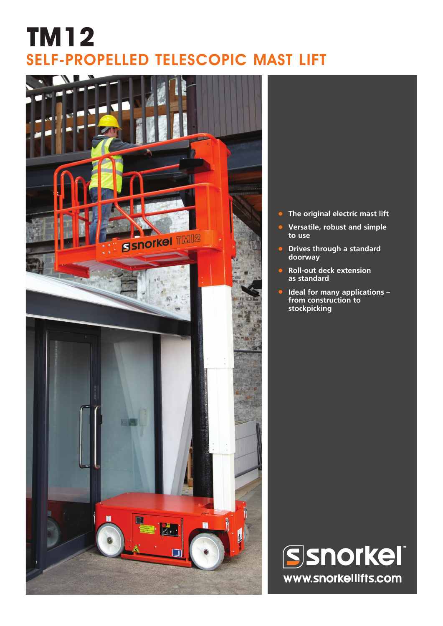# **TM12** SELF-PROPELLED TELESCOPIC MAST LIFT



- **• The original electric mast lift**
- **• Versatile, robust and simple to use**
- **• Drives through a standard doorway**
- **• Roll-out deck extension as standard**
- **• Ideal for many applications from construction to stockpicking**